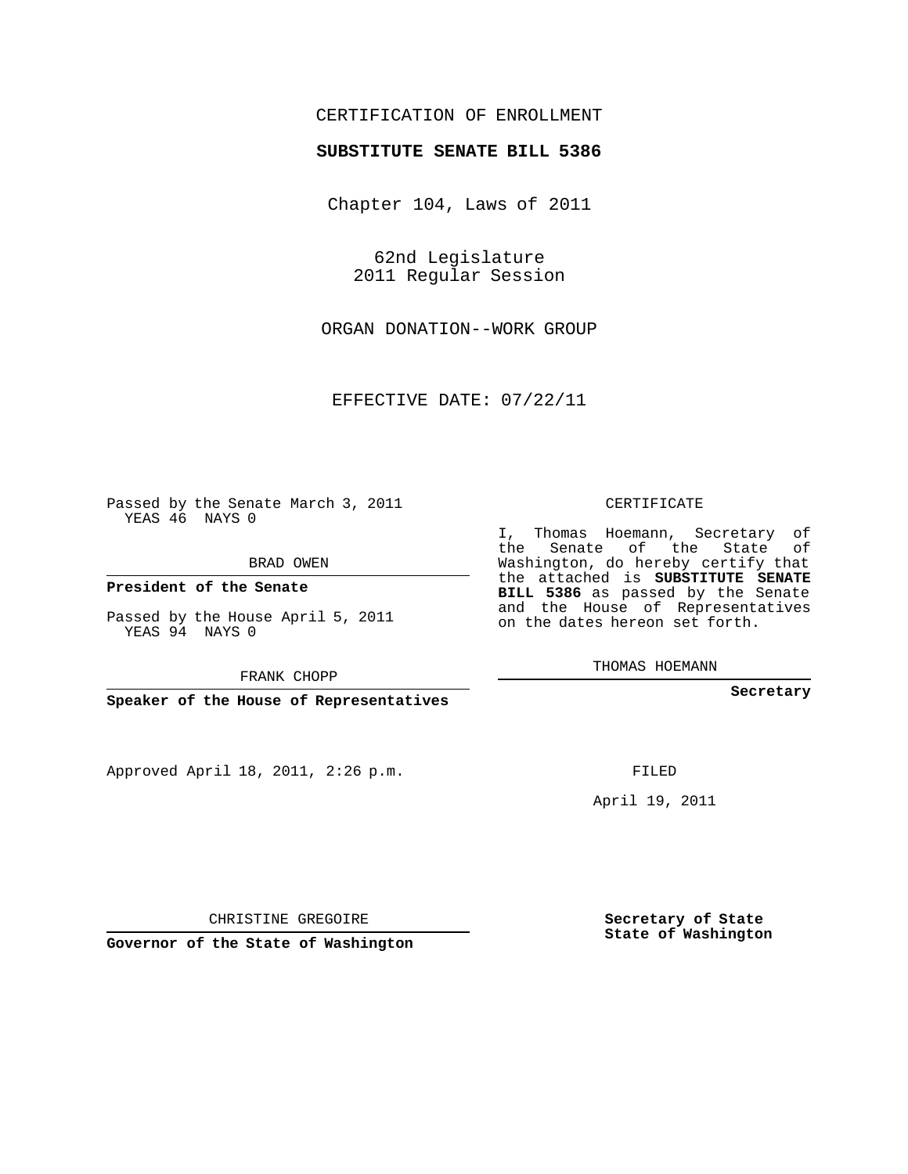## CERTIFICATION OF ENROLLMENT

## **SUBSTITUTE SENATE BILL 5386**

Chapter 104, Laws of 2011

62nd Legislature 2011 Regular Session

ORGAN DONATION--WORK GROUP

EFFECTIVE DATE: 07/22/11

Passed by the Senate March 3, 2011 YEAS 46 NAYS 0

BRAD OWEN

**President of the Senate**

Passed by the House April 5, 2011 YEAS 94 NAYS 0

FRANK CHOPP

**Speaker of the House of Representatives**

Approved April 18, 2011, 2:26 p.m.

CERTIFICATE

I, Thomas Hoemann, Secretary of the Senate of the State of Washington, do hereby certify that the attached is **SUBSTITUTE SENATE BILL 5386** as passed by the Senate and the House of Representatives on the dates hereon set forth.

THOMAS HOEMANN

**Secretary**

FILED

April 19, 2011

CHRISTINE GREGOIRE

**Governor of the State of Washington**

**Secretary of State State of Washington**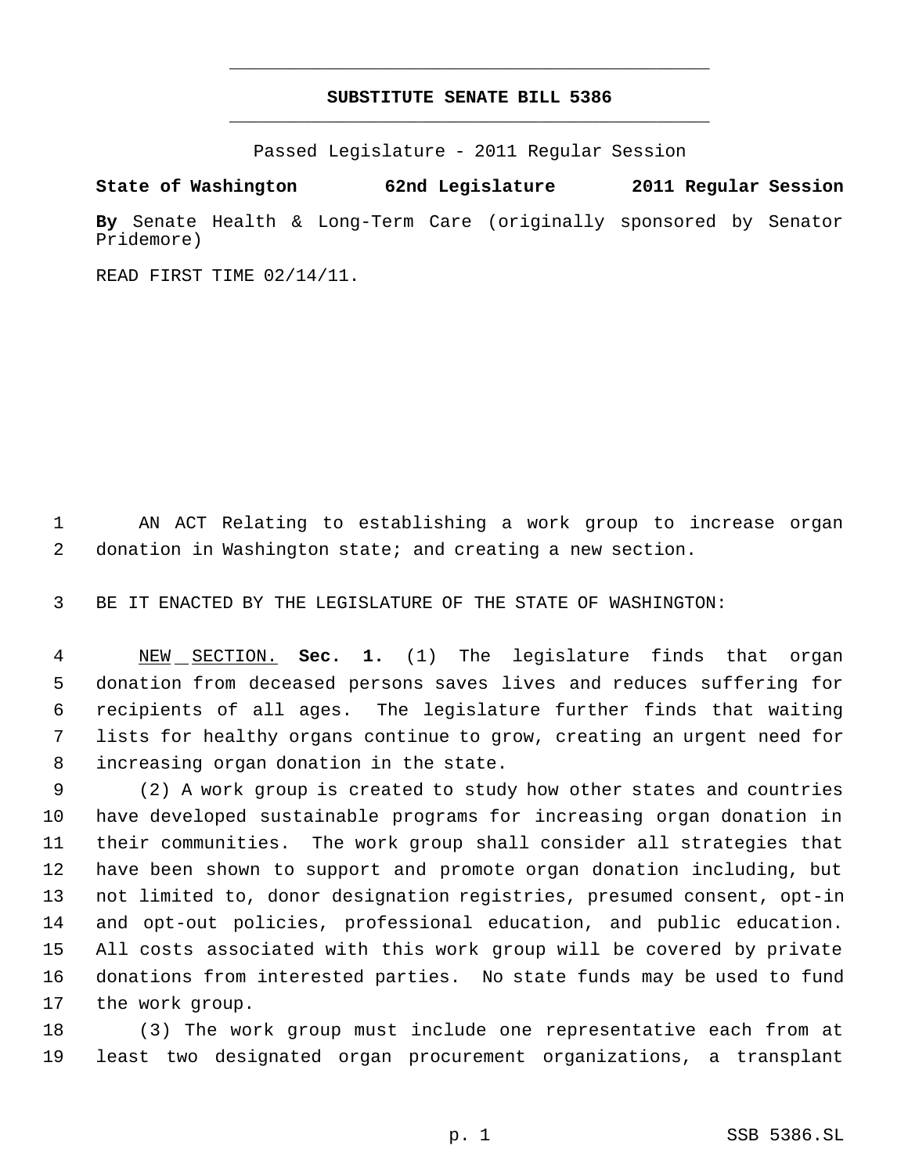## **SUBSTITUTE SENATE BILL 5386** \_\_\_\_\_\_\_\_\_\_\_\_\_\_\_\_\_\_\_\_\_\_\_\_\_\_\_\_\_\_\_\_\_\_\_\_\_\_\_\_\_\_\_\_\_

\_\_\_\_\_\_\_\_\_\_\_\_\_\_\_\_\_\_\_\_\_\_\_\_\_\_\_\_\_\_\_\_\_\_\_\_\_\_\_\_\_\_\_\_\_

Passed Legislature - 2011 Regular Session

**State of Washington 62nd Legislature 2011 Regular Session By** Senate Health & Long-Term Care (originally sponsored by Senator Pridemore)

READ FIRST TIME 02/14/11.

 AN ACT Relating to establishing a work group to increase organ donation in Washington state; and creating a new section.

BE IT ENACTED BY THE LEGISLATURE OF THE STATE OF WASHINGTON:

 NEW SECTION. **Sec. 1.** (1) The legislature finds that organ donation from deceased persons saves lives and reduces suffering for recipients of all ages. The legislature further finds that waiting lists for healthy organs continue to grow, creating an urgent need for increasing organ donation in the state.

 (2) A work group is created to study how other states and countries have developed sustainable programs for increasing organ donation in their communities. The work group shall consider all strategies that have been shown to support and promote organ donation including, but not limited to, donor designation registries, presumed consent, opt-in and opt-out policies, professional education, and public education. All costs associated with this work group will be covered by private donations from interested parties. No state funds may be used to fund the work group.

 (3) The work group must include one representative each from at least two designated organ procurement organizations, a transplant